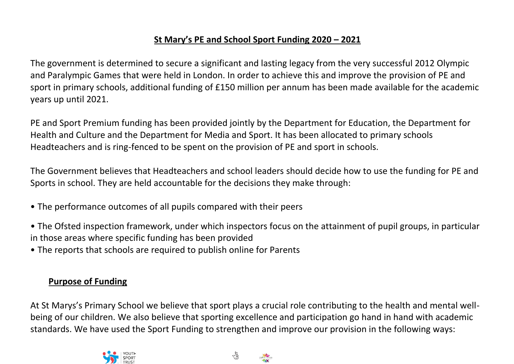## **St Mary's PE and School Sport Funding 2020 – 2021**

The government is determined to secure a significant and lasting legacy from the very successful 2012 Olympic and Paralympic Games that were held in London. In order to achieve this and improve the provision of PE and sport in primary schools, additional funding of £150 million per annum has been made available for the academic years up until 2021.

PE and Sport Premium funding has been provided jointly by the Department for Education, the Department for Health and Culture and the Department for Media and Sport. It has been allocated to primary schools Headteachers and is ring-fenced to be spent on the provision of PE and sport in schools.

The Government believes that Headteachers and school leaders should decide how to use the funding for PE and Sports in school. They are held accountable for the decisions they make through:

- The performance outcomes of all pupils compared with their peers
- The Ofsted inspection framework, under which inspectors focus on the attainment of pupil groups, in particular in those areas where specific funding has been provided
- The reports that schools are required to publish online for Parents

## **Purpose of Funding**

At St Marys's Primary School we believe that sport plays a crucial role contributing to the health and mental wellbeing of our children. We also believe that sporting excellence and participation go hand in hand with academic standards. We have used the Sport Funding to strengthen and improve our provision in the following ways:



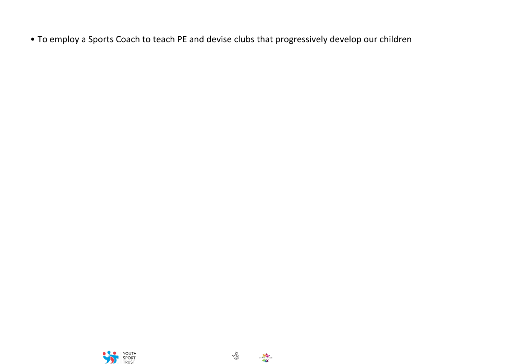• To employ a Sports Coach to teach PE and devise clubs that progressively develop our children





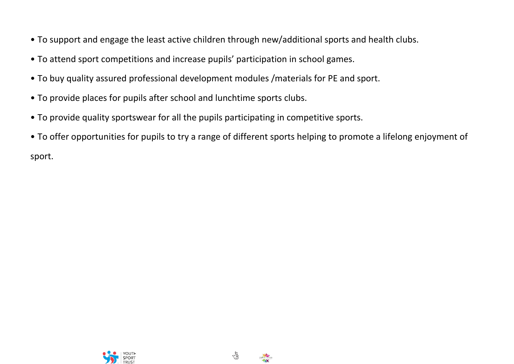- To support and engage the least active children through new/additional sports and health clubs.
- To attend sport competitions and increase pupils' participation in school games.
- To buy quality assured professional development modules /materials for PE and sport.
- To provide places for pupils after school and lunchtime sports clubs.
- To provide quality sportswear for all the pupils participating in competitive sports.
- To offer opportunities for pupils to try a range of different sports helping to promote a lifelong enjoyment of sport.





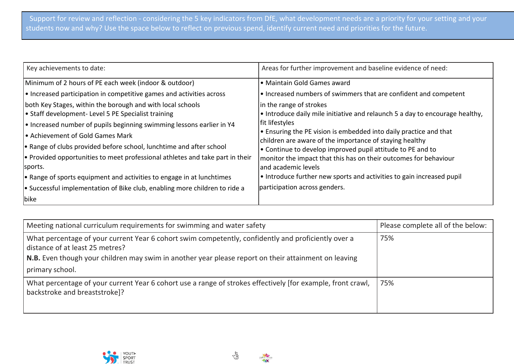| Key achievements to date:                                                           | Areas for further improvement and baseline evidence of need:                                                                 |
|-------------------------------------------------------------------------------------|------------------------------------------------------------------------------------------------------------------------------|
| Minimum of 2 hours of PE each week (indoor & outdoor)                               | • Maintain Gold Games award                                                                                                  |
| • Increased participation in competitive games and activities across                | • Increased numbers of swimmers that are confident and competent                                                             |
| both Key Stages, within the borough and with local schools                          | in the range of strokes                                                                                                      |
| • Staff development- Level 5 PE Specialist training                                 | . Introduce daily mile initiative and relaunch 5 a day to encourage healthy,                                                 |
| • Increased number of pupils beginning swimming lessons earlier in Y4               | fit lifestyles                                                                                                               |
| • Achievement of Gold Games Mark                                                    | • Ensuring the PE vision is embedded into daily practice and that<br>children are aware of the importance of staying healthy |
| • Range of clubs provided before school, lunchtime and after school                 | • Continue to develop improved pupil attitude to PE and to                                                                   |
| $\cdot$ Provided opportunities to meet professional athletes and take part in their | monitor the impact that this has on their outcomes for behaviour                                                             |
| sports.                                                                             | and academic levels                                                                                                          |
| $\cdot$ Range of sports equipment and activities to engage in at lunchtimes         | • Introduce further new sports and activities to gain increased pupil                                                        |
| $\cdot$ Successful implementation of Bike club, enabling more children to ride a    | participation across genders.                                                                                                |
| bike                                                                                |                                                                                                                              |

| Meeting national curriculum requirements for swimming and water safety                                                                                                                                                                         | Please complete all of the below: |
|------------------------------------------------------------------------------------------------------------------------------------------------------------------------------------------------------------------------------------------------|-----------------------------------|
| What percentage of your current Year 6 cohort swim competently, confidently and proficiently over a<br>distance of at least 25 metres?<br>N.B. Even though your children may swim in another year please report on their attainment on leaving | 75%                               |
| primary school.                                                                                                                                                                                                                                |                                   |
| What percentage of your current Year 6 cohort use a range of strokes effectively [for example, front crawl,<br>backstroke and breaststroke]?                                                                                                   | 75%                               |





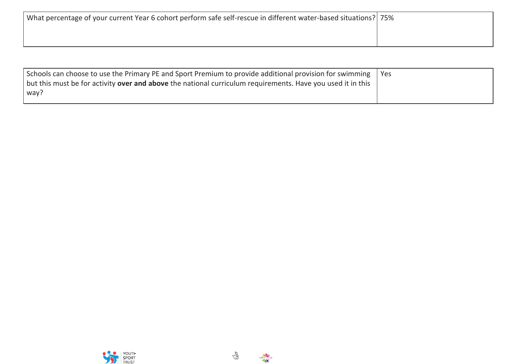| What percentage of your current Year 6 cohort perform safe self-rescue in different water-based situations? 75% |  |
|-----------------------------------------------------------------------------------------------------------------|--|
|                                                                                                                 |  |
|                                                                                                                 |  |

| Schools can choose to use the Primary PE and Sport Premium to provide additional provision for swimming   Yes      |  |
|--------------------------------------------------------------------------------------------------------------------|--|
| but this must be for activity <b>over and above</b> the national curriculum requirements. Have you used it in this |  |
| way?                                                                                                               |  |





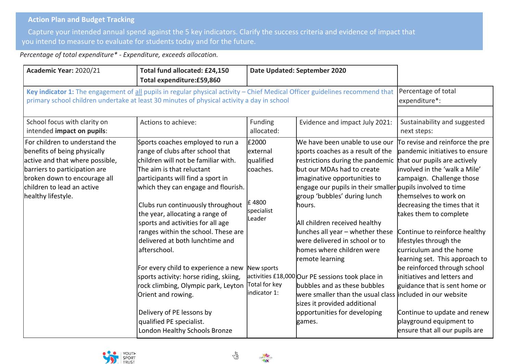## **Action Plan and Budget Tracking**

Capture your intended annual spend against the 5 key indicators. Clarify the success criteria and evidence of impact that you intend to measure to evaluate for students today and for the future.

*Percentage of total expenditure\* - Expenditure, exceeds allocation.*

| Academic Year: 2020/21                                                                                                                                                                                                 | Total fund allocated: £24,150<br>Total expenditure:£59,860                                                                                                                                                                                                                                                                                                                                                                                                                                                                                                                                                                                                          |                                                                                                                               | Date Updated: September 2020                                                                                                                                                                                                                                                                                                                                                                                                                                                                                                                                                                                                                                       |                                                                                                                                                                                                                                                                                                                                                                                                                                                                                                                                                                         |
|------------------------------------------------------------------------------------------------------------------------------------------------------------------------------------------------------------------------|---------------------------------------------------------------------------------------------------------------------------------------------------------------------------------------------------------------------------------------------------------------------------------------------------------------------------------------------------------------------------------------------------------------------------------------------------------------------------------------------------------------------------------------------------------------------------------------------------------------------------------------------------------------------|-------------------------------------------------------------------------------------------------------------------------------|--------------------------------------------------------------------------------------------------------------------------------------------------------------------------------------------------------------------------------------------------------------------------------------------------------------------------------------------------------------------------------------------------------------------------------------------------------------------------------------------------------------------------------------------------------------------------------------------------------------------------------------------------------------------|-------------------------------------------------------------------------------------------------------------------------------------------------------------------------------------------------------------------------------------------------------------------------------------------------------------------------------------------------------------------------------------------------------------------------------------------------------------------------------------------------------------------------------------------------------------------------|
|                                                                                                                                                                                                                        | Key indicator 1: The engagement of all pupils in regular physical activity - Chief Medical Officer guidelines recommend that<br>primary school children undertake at least 30 minutes of physical activity a day in school                                                                                                                                                                                                                                                                                                                                                                                                                                          |                                                                                                                               |                                                                                                                                                                                                                                                                                                                                                                                                                                                                                                                                                                                                                                                                    | Percentage of total<br>expenditure*:                                                                                                                                                                                                                                                                                                                                                                                                                                                                                                                                    |
| School focus with clarity on                                                                                                                                                                                           | Actions to achieve:                                                                                                                                                                                                                                                                                                                                                                                                                                                                                                                                                                                                                                                 | Funding                                                                                                                       | Evidence and impact July 2021:                                                                                                                                                                                                                                                                                                                                                                                                                                                                                                                                                                                                                                     | Sustainability and suggested                                                                                                                                                                                                                                                                                                                                                                                                                                                                                                                                            |
| intended impact on pupils:                                                                                                                                                                                             |                                                                                                                                                                                                                                                                                                                                                                                                                                                                                                                                                                                                                                                                     | allocated:                                                                                                                    |                                                                                                                                                                                                                                                                                                                                                                                                                                                                                                                                                                                                                                                                    | next steps:                                                                                                                                                                                                                                                                                                                                                                                                                                                                                                                                                             |
| For children to understand the<br>benefits of being physically<br>active and that where possible,<br>barriers to participation are<br>broken down to encourage all<br>children to lead an active<br>healthy lifestyle. | Sports coaches employed to run a<br>range of clubs after school that<br>children will not be familiar with.<br>The aim is that reluctant<br>participants will find a sport in<br>which they can engage and flourish.<br>Clubs run continuously throughout<br>the year, allocating a range of<br>sports and activities for all age<br>ranges within the school. These are<br>delivered at both lunchtime and<br>afterschool.<br>For every child to experience a new<br>sports activity: horse riding, skiing,<br>rock climbing, Olympic park, Leyton<br>Orient and rowing.<br>Delivery of PE lessons by<br>qualified PE specialist.<br>London Healthy Schools Bronze | £2000<br>lexternal<br>qualified<br>coaches.<br>E 4800<br>specialist<br>Leader<br>New sports<br>Total for key<br>lindicator 1: | We have been unable to use our<br>sports coaches as a result of the<br>restrictions during the pandemic<br>but our MDAs had to create<br>imaginative opportunities to<br>engage our pupils in their smaller pupils involved to time<br>group 'bubbles' during lunch<br>hours.<br>All children received healthy<br>lunches all year $-$ whether these<br>were delivered in school or to<br>homes where children were<br>remote learning<br>activities £18,000 Our PE sessions took place in<br>bubbles and as these bubbles<br>were smaller than the usual class lincluded in our website<br>sizes it provided additional<br>opportunities for developing<br>games. | To revise and reinforce the pre<br>pandemic initiatives to ensure<br>that our pupils are actively<br>involved in the 'walk a Mile'<br>campaign. Challenge those<br>themselves to work on<br>decreasing the times that it<br>takes them to complete<br>Continue to reinforce healthy<br>lifestyles through the<br>curriculum and the home<br>learning set. This approach to<br>be reinforced through school<br>initiatives and letters and<br>guidance that is sent home or<br>Continue to update and renew<br>playground equipment to<br>ensure that all our pupils are |



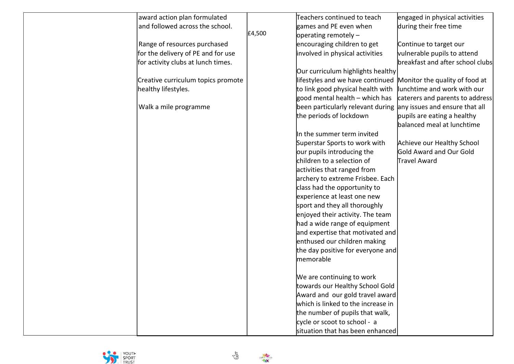| award action plan formulated       |        | Teachers continued to teach                                      | engaged in physical activities   |
|------------------------------------|--------|------------------------------------------------------------------|----------------------------------|
| and followed across the school.    |        | games and PE even when                                           | during their free time           |
|                                    | £4,500 | operating remotely $-$                                           |                                  |
| Range of resources purchased       |        | encouraging children to get                                      | Continue to target our           |
| for the delivery of PE and for use |        | involved in physical activities                                  | vulnerable pupils to attend      |
| for activity clubs at lunch times. |        |                                                                  | breakfast and after school clubs |
|                                    |        | Our curriculum highlights healthy                                |                                  |
| Creative curriculum topics promote |        | lifestyles and we have continued                                 | Monitor the quality of food at   |
| healthy lifestyles.                |        | to link good physical health with                                | lunchtime and work with our      |
|                                    |        | good mental health – which has                                   | caterers and parents to address  |
| Walk a mile programme              |        | been particularly relevant during any issues and ensure that all |                                  |
|                                    |        | the periods of lockdown                                          | pupils are eating a healthy      |
|                                    |        |                                                                  | balanced meal at lunchtime       |
|                                    |        | In the summer term invited                                       |                                  |
|                                    |        | Superstar Sports to work with                                    | Achieve our Healthy School       |
|                                    |        | our pupils introducing the                                       | Gold Award and Our Gold          |
|                                    |        | children to a selection of                                       | Travel Award                     |
|                                    |        | activities that ranged from                                      |                                  |
|                                    |        | archery to extreme Frisbee. Each                                 |                                  |
|                                    |        | class had the opportunity to                                     |                                  |
|                                    |        | experience at least one new                                      |                                  |
|                                    |        | sport and they all thoroughly                                    |                                  |
|                                    |        | enjoyed their activity. The team                                 |                                  |
|                                    |        | had a wide range of equipment                                    |                                  |
|                                    |        | and expertise that motivated and                                 |                                  |
|                                    |        | enthused our children making                                     |                                  |
|                                    |        | the day positive for everyone and                                |                                  |
|                                    |        | memorable                                                        |                                  |
|                                    |        |                                                                  |                                  |
|                                    |        | We are continuing to work                                        |                                  |
|                                    |        | towards our Healthy School Gold                                  |                                  |
|                                    |        | Award and our gold travel award                                  |                                  |
|                                    |        | which is linked to the increase in                               |                                  |
|                                    |        | the number of pupils that walk,                                  |                                  |
|                                    |        | cycle or scoot to school - a                                     |                                  |
|                                    |        | situation that has been enhanced                                 |                                  |



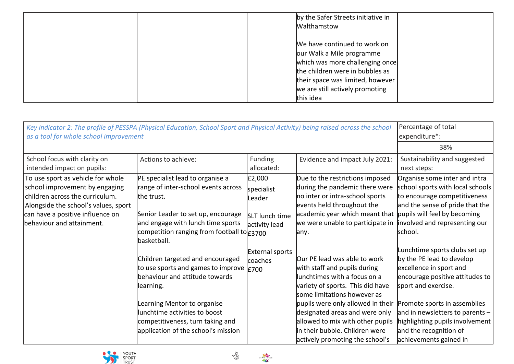|  | by the Safer Streets initiative in |  |
|--|------------------------------------|--|
|  | Walthamstow                        |  |
|  |                                    |  |
|  | We have continued to work on       |  |
|  | our Walk a Mile programme          |  |
|  | which was more challenging once    |  |
|  | the children were in bubbles as    |  |
|  | their space was limited, however   |  |
|  | we are still actively promoting    |  |
|  | this idea                          |  |

| Key indicator 2: The profile of PESSPA (Physical Education, School Sport and Physical Activity) being raised across the school<br>as a tool for whole school improvement                                        |                                                                                                                                                                                                                                                                            |                                                                   |                                                                                                                                                                                                                                                                                                                                                 | Percentage of total<br>expenditure*:<br>38%                                                                                                                                                                                                                                                                 |
|-----------------------------------------------------------------------------------------------------------------------------------------------------------------------------------------------------------------|----------------------------------------------------------------------------------------------------------------------------------------------------------------------------------------------------------------------------------------------------------------------------|-------------------------------------------------------------------|-------------------------------------------------------------------------------------------------------------------------------------------------------------------------------------------------------------------------------------------------------------------------------------------------------------------------------------------------|-------------------------------------------------------------------------------------------------------------------------------------------------------------------------------------------------------------------------------------------------------------------------------------------------------------|
| School focus with clarity on<br>intended impact on pupils:                                                                                                                                                      | Actions to achieve:                                                                                                                                                                                                                                                        | Funding<br>allocated:                                             | Evidence and impact July 2021:                                                                                                                                                                                                                                                                                                                  | Sustainability and suggested<br>next steps:                                                                                                                                                                                                                                                                 |
| To use sport as vehicle for whole<br>school improvement by engaging<br>children across the curriculum.<br>Alongside the school's values, sport<br>can have a positive influence on<br>behaviour and attainment. | PE specialist lead to organise a<br>range of inter-school events across<br>the trust.<br>Senior Leader to set up, encourage<br>and engage with lunch time sports<br>competition ranging from football to £3700<br>basketball.                                              | £2,000<br>specialist<br>Leader<br>SLT lunch time<br>activity lead | Due to the restrictions imposed<br>during the pandemic there were<br>no inter or intra-school sports<br>events held throughout the<br>academic year which meant that  pupils will feel by becoming<br>we were unable to participate in<br>any.                                                                                                  | Organise some inter and intra<br>school sports with local schools<br>to encourage competitiveness<br>and the sense of pride that the<br>involved and representing our<br>school.                                                                                                                            |
|                                                                                                                                                                                                                 | Children targeted and encouraged<br>to use sports and games to improve $ E700 $<br>behaviour and attitude towards<br>llearning.<br>Learning Mentor to organise<br>lunchtime activities to boost<br>competitiveness, turn taking and<br>application of the school's mission | <b>External sports</b><br><b>coaches</b>                          | Our PE lead was able to work<br>with staff and pupils during<br>lunchtimes with a focus on a<br>variety of sports. This did have<br>some limitations however as<br>pupils were only allowed in their<br>designated areas and were only<br>allowed to mix with other pupils<br>in their bubble. Children were<br>actively promoting the school's | Lunchtime sports clubs set up<br>by the PE lead to develop<br>excellence in sport and<br>encourage positive attitudes to<br>sport and exercise.<br>Promote sports in assemblies<br>and in newsletters to parents $-$<br>highlighting pupils involvement<br>and the recognition of<br>achievements gained in |





13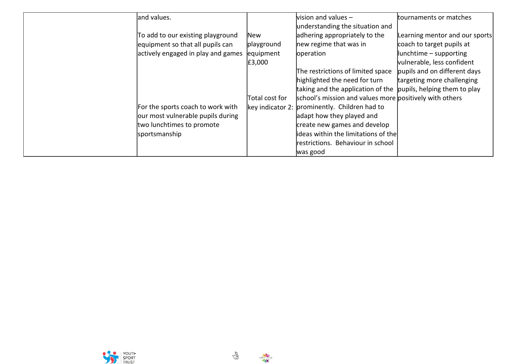| land values.                       |                | vision and values $-$                                          | tournaments or matches         |
|------------------------------------|----------------|----------------------------------------------------------------|--------------------------------|
|                                    |                | understanding the situation and                                |                                |
| To add to our existing playground  | lNew           | adhering appropriately to the                                  | Learning mentor and our sports |
| equipment so that all pupils can   | playground     | new regime that was in                                         | coach to target pupils at      |
| actively engaged in play and games | equipment      | operation                                                      | $\ $ unchtime – supporting     |
|                                    | E3,000         |                                                                | vulnerable, less confident     |
|                                    |                | The restrictions of limited space                              | pupils and on different days   |
|                                    |                | highlighted the need for turn                                  | targeting more challenging     |
|                                    |                | taking and the application of the pupils, helping them to play |                                |
|                                    | Total cost for | school's mission and values more positively with others        |                                |
| For the sports coach to work with  |                | key indicator 2: prominently. Children had to                  |                                |
| our most vulnerable pupils during  |                | adapt how they played and                                      |                                |
| two lunchtimes to promote          |                | create new games and develop                                   |                                |
| sportsmanship                      |                | lideas within the limitations of the                           |                                |
|                                    |                | restrictions. Behaviour in school                              |                                |
|                                    |                | was good                                                       |                                |





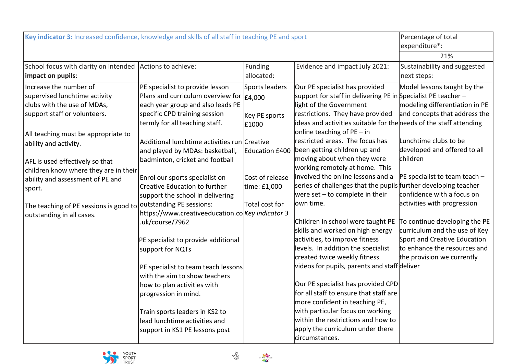| Key indicator 3: Increased confidence, knowledge and skills of all staff in teaching PE and sport |                                                  |                       | Percentage of total                                                |                                 |
|---------------------------------------------------------------------------------------------------|--------------------------------------------------|-----------------------|--------------------------------------------------------------------|---------------------------------|
|                                                                                                   |                                                  |                       |                                                                    | expenditure*:                   |
|                                                                                                   |                                                  |                       |                                                                    | 21%                             |
| School focus with clarity on intended                                                             | Actions to achieve:                              | Funding               | Evidence and impact July 2021:                                     | Sustainability and suggested    |
| impact on pupils:                                                                                 |                                                  | allocated:            |                                                                    | next steps:                     |
| Increase the number of                                                                            | PE specialist to provide lesson                  | Sports leaders        | Our PE specialist has provided                                     | Model lessons taught by the     |
| supervised lunchtime activity                                                                     | Plans and curriculum overview for $ _{E4,000}$   |                       | support for staff in delivering PE in Specialist PE teacher -      |                                 |
| clubs with the use of MDAs,                                                                       | each year group and also leads PE                |                       | light of the Government                                            | modeling differentiation in PE  |
| support staff or volunteers.                                                                      | specific CPD training session                    | Key PE sports         | restrictions. They have provided                                   | and concepts that address the   |
|                                                                                                   | termly for all teaching staff.                   | £1000                 | ideas and activities suitable for the needs of the staff attending |                                 |
| All teaching must be appropriate to                                                               |                                                  |                       | online teaching of $PE - in$                                       |                                 |
| ability and activity.                                                                             | Additional lunchtime activities run Creative     |                       | restricted areas. The focus has                                    | Lunchtime clubs to be           |
|                                                                                                   | and played by MDAs: basketball,                  | <b>Education £400</b> | been getting children up and                                       | developed and offered to all    |
| AFL is used effectively so that                                                                   | badminton, cricket and football                  |                       | moving about when they were                                        | children                        |
| children know where they are in their                                                             |                                                  |                       | working remotely at home. This                                     |                                 |
| ability and assessment of PE and                                                                  | Enrol our sports specialist on                   | Cost of release       | involved the online lessons and a                                  | $PE$ specialist to team teach - |
| sport.                                                                                            | Creative Education to further                    | time: £1,000          | series of challenges that the pupils further developing teacher    |                                 |
|                                                                                                   | support the school in delivering                 |                       | were set $-$ to complete in their                                  | confidence with a focus on      |
| The teaching of PE sessions is good to                                                            | outstanding PE sessions:                         | Total cost for        | lown time.                                                         | activities with progression     |
| outstanding in all cases.                                                                         | https://www.creativeeducation.colKey indicator 3 |                       |                                                                    |                                 |
|                                                                                                   | .uk/course/7962                                  |                       | Children in school were taught PE                                  | To continue developing the PE   |
|                                                                                                   |                                                  |                       | skills and worked on high energy                                   | curriculum and the use of Key   |
|                                                                                                   | PE specialist to provide additional              |                       | activities, to improve fitness                                     | Sport and Creative Education    |
|                                                                                                   | support for NQTs                                 |                       | levels. In addition the specialist                                 | to enhance the resources and    |
|                                                                                                   |                                                  |                       | created twice weekly fitness                                       | the provision we currently      |
|                                                                                                   | PE specialist to team teach lessons              |                       | videos for pupils, parents and staff deliver                       |                                 |
|                                                                                                   | with the aim to show teachers                    |                       |                                                                    |                                 |
|                                                                                                   | how to plan activities with                      |                       | Our PE specialist has provided CPD                                 |                                 |
|                                                                                                   | progression in mind.                             |                       | for all staff to ensure that staff are                             |                                 |
|                                                                                                   |                                                  |                       | more confident in teaching PE,                                     |                                 |
|                                                                                                   | Train sports leaders in KS2 to                   |                       | with particular focus on working                                   |                                 |
|                                                                                                   | lead lunchtime activities and                    |                       | within the restrictions and how to                                 |                                 |
|                                                                                                   | support in KS1 PE lessons post                   |                       | apply the curriculum under there                                   |                                 |
|                                                                                                   |                                                  |                       | circumstances.                                                     |                                 |



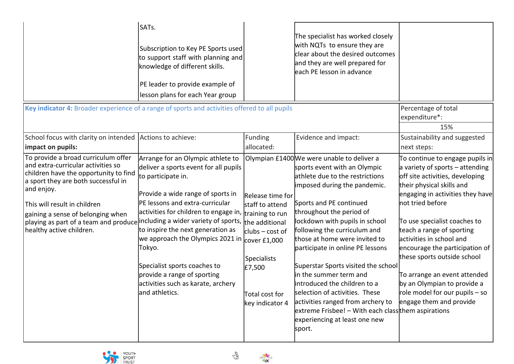|                                                                                                                                                                                                                                                                                                                   | SATs.<br>Subscription to Key PE Sports used<br>to support staff with planning and<br>knowledge of different skills.<br>PE leader to provide example of<br>lesson plans for each Year group                                                                                                                                                                                                                                                                                                         |                                                                                                                                                          | The specialist has worked closely<br>with NQTs to ensure they are<br>clear about the desired outcomes<br>and they are well prepared for<br>each PE lesson in advance                                                                                                                                                                                                                                                                                                                                                                                                                                                  |                                                                                                                                                                                                                                                                                                                                                                                                                                                                                      |
|-------------------------------------------------------------------------------------------------------------------------------------------------------------------------------------------------------------------------------------------------------------------------------------------------------------------|----------------------------------------------------------------------------------------------------------------------------------------------------------------------------------------------------------------------------------------------------------------------------------------------------------------------------------------------------------------------------------------------------------------------------------------------------------------------------------------------------|----------------------------------------------------------------------------------------------------------------------------------------------------------|-----------------------------------------------------------------------------------------------------------------------------------------------------------------------------------------------------------------------------------------------------------------------------------------------------------------------------------------------------------------------------------------------------------------------------------------------------------------------------------------------------------------------------------------------------------------------------------------------------------------------|--------------------------------------------------------------------------------------------------------------------------------------------------------------------------------------------------------------------------------------------------------------------------------------------------------------------------------------------------------------------------------------------------------------------------------------------------------------------------------------|
| Key indicator 4: Broader experience of a range of sports and activities offered to all pupils                                                                                                                                                                                                                     |                                                                                                                                                                                                                                                                                                                                                                                                                                                                                                    |                                                                                                                                                          |                                                                                                                                                                                                                                                                                                                                                                                                                                                                                                                                                                                                                       | Percentage of total<br>expenditure*:<br>15%                                                                                                                                                                                                                                                                                                                                                                                                                                          |
| School focus with clarity on intended<br>impact on pupils:                                                                                                                                                                                                                                                        | Actions to achieve:                                                                                                                                                                                                                                                                                                                                                                                                                                                                                | <b>Funding</b><br>allocated:                                                                                                                             | Evidence and impact:                                                                                                                                                                                                                                                                                                                                                                                                                                                                                                                                                                                                  | Sustainability and suggested<br>next steps:                                                                                                                                                                                                                                                                                                                                                                                                                                          |
| To provide a broad curriculum offer<br>and extra-curricular activities so<br>children have the opportunity to find<br>a sport they are both successful in<br>and enjoy.<br>This will result in children<br>gaining a sense of belonging when<br>playing as part of a team and produce<br>healthy active children. | Arrange for an Olympic athlete to<br>deliver a sports event for all pupils<br>to participate in.<br>Provide a wide range of sports in<br>PE lessons and extra-curricular<br>activities for children to engage in, training to run<br>including a wider variety of sports, the additional<br>to inspire the next generation as<br>we approach the Olympics 2021 in<br>Tokyo.<br>Specialist sports coaches to<br>provide a range of sporting<br>activities such as karate, archery<br>and athletics. | Release time for<br>staff to attend<br>$ {\rm clubs}-{\rm cost}$ of<br>cover £1,000<br><b>Specialists</b><br>£7,500<br>Total cost for<br>key indicator 4 | Olympian £1400 We were unable to deliver a<br>sports event with an Olympic<br>athlete due to the restrictions<br>imposed during the pandemic.<br>Sports and PE continued<br>throughout the period of<br>lockdown with pupils in school<br>following the curriculum and<br>those at home were invited to<br>participate in online PE lessons<br>Superstar Sports visited the school<br>in the summer term and<br>introduced the children to a<br>selection of activities. These<br>activities ranged from archery to<br>extreme Frisbee! - With each class them aspirations<br>experiencing at least one new<br>sport. | To continue to engage pupils in<br>a variety of sports $-$ attending<br>off site activities, developing<br>their physical skills and<br>engaging in activities they have<br>not tried before<br>To use specialist coaches to<br>teach a range of sporting<br>activities in school and<br>encourage the participation of<br>these sports outside school<br>To arrange an event attended<br>by an Olympian to provide a<br>role model for our pupils $-$ so<br>engage them and provide |



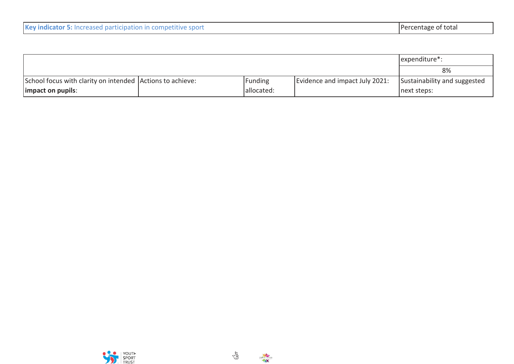| Key indicator 5: Increased participation in competitive sport | Percentage of total |
|---------------------------------------------------------------|---------------------|
|---------------------------------------------------------------|---------------------|

|                                                           | expenditure <sup>*</sup> : |                                |                              |
|-----------------------------------------------------------|----------------------------|--------------------------------|------------------------------|
|                                                           |                            |                                | 8%                           |
| School focus with clarity on intended Actions to achieve: | Funding                    | Evidence and impact July 2021: | Sustainability and suggested |
| limpact on pupils:                                        | allocated:                 |                                | next steps:                  |